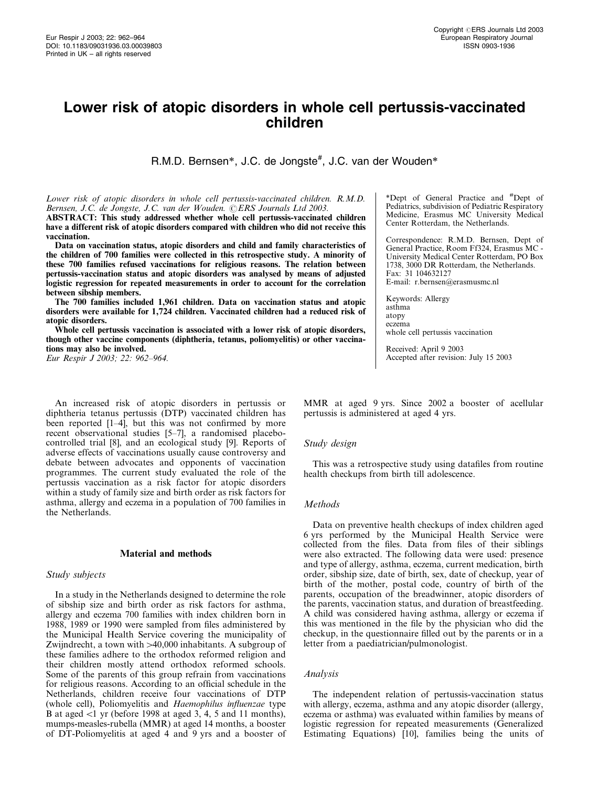# Lower risk of atopic disorders in whole cell pertussis-vaccinated children

R.M.D. Bernsen\*, J.C. de Jongste<sup>#</sup>, J.C. van der Wouden\*

Lower risk of atopic disorders in whole cell pertussis-vaccinated children. R.M.D. Bernsen, J.C. de Jongste, J.C. van der Wouden. ©ERS Journals Ltd 2003. ABSTRACT: This study addressed whether whole cell pertussis-vaccinated children have a different risk of atopic disorders compared with children who did not receive this vaccination.

Data on vaccination status, atopic disorders and child and family characteristics of the children of 700 families were collected in this retrospective study. A minority of these 700 families refused vaccinations for religious reasons. The relation between pertussis-vaccination status and atopic disorders was analysed by means of adjusted logistic regression for repeated measurements in order to account for the correlation between sibship members.

The 700 families included 1,961 children. Data on vaccination status and atopic disorders were available for 1,724 children. Vaccinated children had a reduced risk of atopic disorders.

Whole cell pertussis vaccination is associated with a lower risk of atopic disorders, though other vaccine components (diphtheria, tetanus, poliomyelitis) or other vaccinations may also be involved.

Eur Respir J 2003; 22: 962–964.

An increased risk of atopic disorders in pertussis or diphtheria tetanus pertussis (DTP) vaccinated children has been reported [1–4], but this was not confirmed by more recent observational studies [5–7], a randomised placebocontrolled trial [8], and an ecological study [9]. Reports of adverse effects of vaccinations usually cause controversy and debate between advocates and opponents of vaccination programmes. The current study evaluated the role of the pertussis vaccination as a risk factor for atopic disorders within a study of family size and birth order as risk factors for asthma, allergy and eczema in a population of 700 families in the Netherlands.

#### Material and methods

## Study subjects

In a study in the Netherlands designed to determine the role of sibship size and birth order as risk factors for asthma, allergy and eczema 700 families with index children born in 1988, 1989 or 1990 were sampled from files administered by the Municipal Health Service covering the municipality of Zwijndrecht, a town with  $>40,000$  inhabitants. A subgroup of these families adhere to the orthodox reformed religion and their children mostly attend orthodox reformed schools. Some of the parents of this group refrain from vaccinations for religious reasons. According to an official schedule in the Netherlands, children receive four vaccinations of DTP (whole cell), Poliomyelitis and Haemophilus influenzae type B at aged  $\lt 1$  yr (before 1998 at aged 3, 4, 5 and 11 months), mumps-measles-rubella (MMR) at aged 14 months, a booster of DT-Poliomyelitis at aged 4 and 9 yrs and a booster of

\*Dept of General Practice and #Dept of Pediatrics, subdivision of Pediatric Respiratory Medicine, Erasmus MC University Medical Center Rotterdam, the Netherlands.

Correspondence: R.M.D. Bernsen, Dept of General Practice, Room Ff324, Erasmus MC - University Medical Center Rotterdam, PO Box 1738, 3000 DR Rotterdam, the Netherlands. Fax: 31 104632127 E-mail: r.bernsen@erasmusmc.nl

Keywords: Allergy asthma atopy eczema whole cell pertussis vaccination

Received: April 9 2003 Accepted after revision: July 15 2003

MMR at aged 9 yrs. Since 2002 a booster of acellular pertussis is administered at aged 4 yrs.

#### Study design

This was a retrospective study using datafiles from routine health checkups from birth till adolescence.

## Methods

Data on preventive health checkups of index children aged 6 yrs performed by the Municipal Health Service were collected from the files. Data from files of their siblings were also extracted. The following data were used: presence and type of allergy, asthma, eczema, current medication, birth order, sibship size, date of birth, sex, date of checkup, year of birth of the mother, postal code, country of birth of the parents, occupation of the breadwinner, atopic disorders of the parents, vaccination status, and duration of breastfeeding. A child was considered having asthma, allergy or eczema if this was mentioned in the file by the physician who did the checkup, in the questionnaire filled out by the parents or in a letter from a paediatrician/pulmonologist.

# Analysis

The independent relation of pertussis-vaccination status with allergy, eczema, asthma and any atopic disorder (allergy, eczema or asthma) was evaluated within families by means of logistic regression for repeated measurements (Generalized Estimating Equations) [10], families being the units of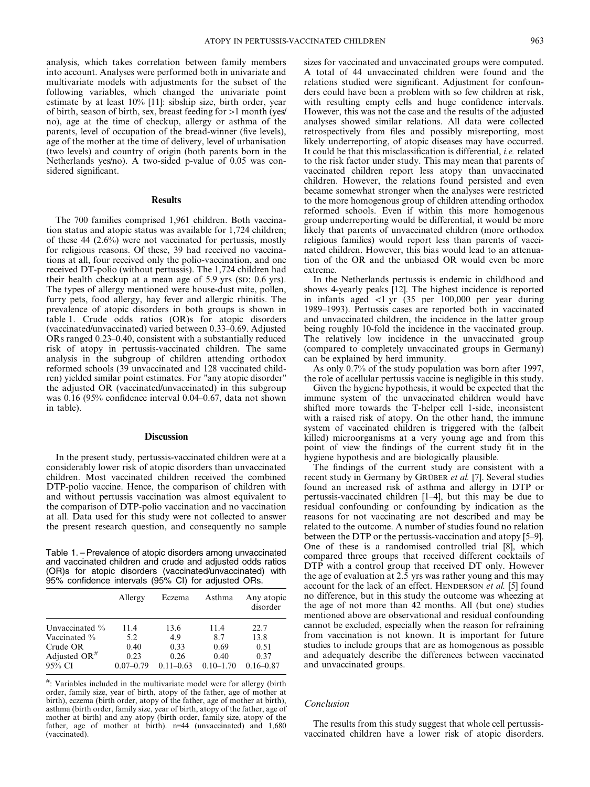analysis, which takes correlation between family members into account. Analyses were performed both in univariate and multivariate models with adjustments for the subset of the following variables, which changed the univariate point estimate by at least 10% [11]: sibship size, birth order, year of birth, season of birth, sex, breast feeding for  $>1$  month (yes/ no), age at the time of checkup, allergy or asthma of the parents, level of occupation of the bread-winner (five levels), age of the mother at the time of delivery, level of urbanisation (two levels) and country of origin (both parents born in the Netherlands yes/no). A two-sided p-value of 0.05 was considered significant.

## **Results**

The 700 families comprised 1,961 children. Both vaccination status and atopic status was available for 1,724 children; of these 44 (2.6%) were not vaccinated for pertussis, mostly for religious reasons. Of these, 39 had received no vaccinations at all, four received only the polio-vaccination, and one received DT-polio (without pertussis). The 1,724 children had their health checkup at a mean age of 5.9 yrs (SD: 0.6 yrs). The types of allergy mentioned were house-dust mite, pollen, furry pets, food allergy, hay fever and allergic rhinitis. The prevalence of atopic disorders in both groups is shown in table 1. Crude odds ratios (OR)s for atopic disorders (vaccinated/unvaccinated) varied between 0.33–0.69. Adjusted ORs ranged 0.23–0.40, consistent with a substantially reduced risk of atopy in pertussis-vaccinated children. The same analysis in the subgroup of children attending orthodox reformed schools (39 unvaccinated and 128 vaccinated children) yielded similar point estimates. For "any atopic disorder" the adjusted OR (vaccinated/unvaccinated) in this subgroup was 0.16 (95% confidence interval 0.04–0.67, data not shown in table).

#### **Discussion**

In the present study, pertussis-vaccinated children were at a considerably lower risk of atopic disorders than unvaccinated children. Most vaccinated children received the combined DTP-polio vaccine. Hence, the comparison of children with and without pertussis vaccination was almost equivalent to the comparison of DTP-polio vaccination and no vaccination at all. Data used for this study were not collected to answer the present research question, and consequently no sample

Table 1. – Prevalence of atopic disorders among unvaccinated and vaccinated children and crude and adjusted odds ratios (OR)s for atopic disorders (vaccinated/unvaccinated) with 95% confidence intervals (95% CI) for adjusted ORs.

|                                    | Allergy               | Eczema                | Asthma                | Any atopic<br>disorder |
|------------------------------------|-----------------------|-----------------------|-----------------------|------------------------|
| Unvaccinated $\%$                  | 11.4                  | 13.6                  | 11.4                  | 22.7                   |
| Vaccinated $\%$                    | 5.2                   | 4.9                   | 8.7                   | 13.8                   |
| Crude OR                           | 0.40                  | 0.33                  | 0.69                  | 0.51                   |
| Adjusted OR <sup>#</sup><br>95% CI | 0.23<br>$0.07 - 0.79$ | 0.26<br>$0.11 - 0.63$ | 0.40<br>$0.10 - 1.70$ | 0.37<br>$0.16 - 0.87$  |

#: Variables included in the multivariate model were for allergy (birth order, family size, year of birth, atopy of the father, age of mother at birth), eczema (birth order, atopy of the father, age of mother at birth), asthma (birth order, family size, year of birth, atopy of the father, age of mother at birth) and any atopy (birth order, family size, atopy of the father, age of mother at birth). n=44 (unvaccinated) and 1,680 (vaccinated).

sizes for vaccinated and unvaccinated groups were computed. A total of 44 unvaccinated children were found and the relations studied were significant. Adjustment for confounders could have been a problem with so few children at risk, with resulting empty cells and huge confidence intervals. However, this was not the case and the results of the adjusted analyses showed similar relations. All data were collected retrospectively from files and possibly misreporting, most likely underreporting, of atopic diseases may have occurred. It could be that this misclassification is differential, i.e. related to the risk factor under study. This may mean that parents of vaccinated children report less atopy than unvaccinated children. However, the relations found persisted and even became somewhat stronger when the analyses were restricted to the more homogenous group of children attending orthodox reformed schools. Even if within this more homogenous group underreporting would be differential, it would be more likely that parents of unvaccinated children (more orthodox religious families) would report less than parents of vaccinated children. However, this bias would lead to an attenuation of the OR and the unbiased OR would even be more extreme.

In the Netherlands pertussis is endemic in childhood and shows 4-yearly peaks [12]. The highest incidence is reported in infants aged  $\langle 1 \rangle$  yr (35 per 100,000 per year during 1989–1993). Pertussis cases are reported both in vaccinated and unvaccinated children, the incidence in the latter group being roughly 10-fold the incidence in the vaccinated group. The relatively low incidence in the unvaccinated group (compared to completely unvaccinated groups in Germany) can be explained by herd immunity.

As only 0.7% of the study population was born after 1997, the role of acellular pertussis vaccine is negligible in this study.

Given the hygiene hypothesis, it would be expected that the immune system of the unvaccinated children would have shifted more towards the T-helper cell 1-side, inconsistent with a raised risk of atopy. On the other hand, the immune system of vaccinated children is triggered with the (albeit killed) microorganisms at a very young age and from this point of view the findings of the current study fit in the hygiene hypothesis and are biologically plausible.

The findings of the current study are consistent with a recent study in Germany by GRÜBER et al. [7]. Several studies found an increased risk of asthma and allergy in DTP or pertussis-vaccinated children [1–4], but this may be due to residual confounding or confounding by indication as the reasons for not vaccinating are not described and may be related to the outcome. A number of studies found no relation between the DTP or the pertussis-vaccination and atopy [5–9]. One of these is a randomised controlled trial [8], which compared three groups that received different cocktails of DTP with a control group that received DT only. However the age of evaluation at 2.5 yrs was rather young and this may account for the lack of an effect. HENDERSON et al. [5] found no difference, but in this study the outcome was wheezing at the age of not more than 42 months. All (but one) studies mentioned above are observational and residual confounding cannot be excluded, especially when the reason for refraining from vaccination is not known. It is important for future studies to include groups that are as homogenous as possible and adequately describe the differences between vaccinated and unvaccinated groups.

# Conclusion

The results from this study suggest that whole cell pertussisvaccinated children have a lower risk of atopic disorders.